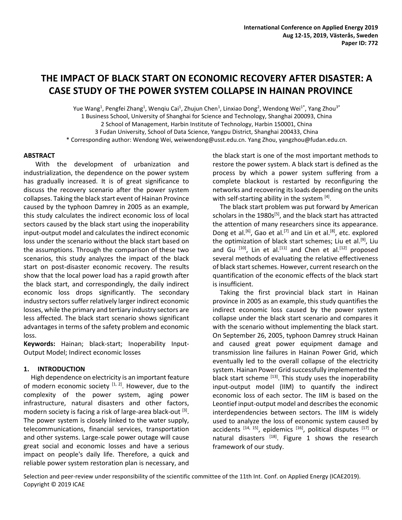# **THE IMPACT OF BLACK START ON ECONOMIC RECOVERY AFTER DISASTER: A CASE STUDY OF THE POWER SYSTEM COLLAPSE IN HAINAN PROVINCE**

Yue Wang<sup>1</sup>, Pengfei Zhang<sup>1</sup>, Wenqiu Cai<sup>1</sup>, Zhujun Chen<sup>1</sup>, Linxiao Dong<sup>2</sup>, Wendong Wei<sup>1\*</sup>, Yang Zhou<sup>3\*</sup> 1 Business School, University of Shanghai for Science and Technology, Shanghai 200093, China 2 School of Management, Harbin Institute of Technology, Harbin 150001, China 3 Fudan University, School of Data Science, Yangpu District, Shanghai 200433, China \* Corresponding author: Wendong Wei, weiwendong@usst.edu.cn. Yang Zhou, yangzhou@fudan.edu.cn.

### **ABSTRACT**

With the development of urbanization and industrialization, the dependence on the power system has gradually increased. It is of great significance to discuss the recovery scenario after the power system collapses. Taking the black start event of Hainan Province caused by the typhoon Damrey in 2005 as an example, this study calculates the indirect economic loss of local sectors caused by the black start using the inoperability input-output model and calculates the indirect economic loss under the scenario without the black start based on the assumptions. Through the comparison of these two scenarios, this study analyzes the impact of the black start on post-disaster economic recovery. The results show that the local power load has a rapid growth after the black start, and correspondingly, the daily indirect economic loss drops significantly. The secondary industry sectors suffer relatively larger indirect economic losses, while the primary and tertiary industry sectors are less affected. The black start scenario shows significant advantages in terms of the safety problem and economic loss.

**Keywords:** Hainan; black-start; Inoperability Input-Output Model; Indirect economic losses

## **1. INTRODUCTION**

High dependence on electricity is an important feature of modern economic society  $[1, 2]$ . However, due to the complexity of the power system, aging power infrastructure, natural disasters and other factors, modern society is facing a risk of large-area black-out <sup>[3]</sup>. The power system is closely linked to the water supply, telecommunications, financial services, transportation and other systems. Large-scale power outage will cause great social and economic losses and have a serious impact on people's daily life. Therefore, a quick and reliable power system restoration plan is necessary, and

the black start is one of the most important methods to restore the power system. A black start is defined as the process by which a power system suffering from a complete blackout is restarted by reconfiguring the networks and recovering its loads depending on the units with self-starting ability in the system [4].

The black start problem was put forward by American scholars in the 1980s<sup>[5]</sup>, and the black start has attracted the attention of many researchers since its appearance. Dong et al.<sup>[6]</sup>, Gao et al.<sup>[7]</sup> and Lin et al.<sup>[8]</sup>, etc. explored the optimization of black start schemes; Liu et al.<sup>[9]</sup>, Liu and Gu  $[10]$ , Lin et al. $[11]$  and Chen et al. $[12]$  proposed several methods of evaluating the relative effectiveness of black start schemes. However, current research on the quantification of the economic effects of the black start is insufficient.

Taking the first provincial black start in Hainan province in 2005 as an example, this study quantifies the indirect economic loss caused by the power system collapse under the black start scenario and compares it with the scenario without implementing the black start. On September 26, 2005, typhoon Damrey struck Hainan and caused great power equipment damage and transmission line failures in Hainan Power Grid, which eventually led to the overall collapse of the electricity system. Hainan Power Grid successfully implemented the black start scheme [13]. This study uses the inoperability input-output model (IIM) to quantify the indirect economic loss of each sector. The IIM is based on the Leontief input-output model and describes the economic interdependencies between sectors. The IIM is widely used to analyze the loss of economic system caused by accidents  $[14, 15]$ , epidemics  $[16]$ , political disputes  $[17]$  or natural disasters [18]. Figure 1 shows the research framework of our study.

Selection and peer-review under responsibility of the scientific committee of the 11th Int. Conf. on Applied Energy (ICAE2019). Copyright © 2019 ICAE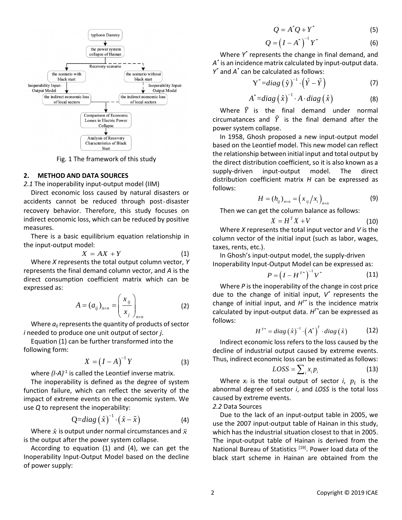

Fig. 1 The framework of this study

#### **2. METHOD AND DATA SOURCES**

*2.1* The inoperability input-output model (IIM)

Direct economic loss caused by natural disasters or accidents cannot be reduced through post-disaster recovery behavior. Therefore, this study focuses on indirect economic loss, which can be reduced by positive measures. Exterior collapse<br> *X* Analysis of Black<br>
Collapse<br> *X* Characteristics of Black<br> *X* Excevery<br> *X* Characteristics of Black<br> *X* Excevery<br> *X* in 1958, Ghosh propul-<br> *X* the client distribution<br> *X* the direct distributi  $\alpha$ *i* output model (iiivi)<br>caused by natural di<br>educed through pos<br>refore, this study for<br>which can be reduced bibrium equation relat<br>ibrium equation relat<br> $AX + Y$ <br>ne total output column<br>and column vector, an<br>efficient ma *n* atural disasters or<br>
rough post-disaster<br>
s study focuses on<br>
e reduced by positive<br>
ation relationship in<br>
(1)<br>
put column vector, Y<br>
i vector, and A is the<br>
atrix which can be<br>  $\frac{y}{y}$ <br>
(2)<br>
of products of sector<br>

There is a basic equilibrium equation relationship in the input-output model:

$$
X = AX + Y \tag{1}
$$

Where *X* represents the total output column vector, *Y* represents the final demand column vector, and *A* is the direct consumption coefficient matrix which can be expressed as:

$$
A = (a_{ij})_{n \times n} = \left(\frac{x_{ij}}{x_j}\right)_{n \times n}
$$
 (2)

Where *aij* represents the quantity of products of sector *i* needed to produce one unit output of sector *j*.

Equation (1) can be further transformed into the following form:

$$
X = (I - A)^{-1}Y \tag{3}
$$

where (I-A)<sup>-1</sup> is called the Leontief inverse matrix.

The inoperability is defined as the degree of system function failure, which can reflect the severity of the impact of extreme events on the economic system. We use *Q* to represent the inoperability: ior. Therefore, this study focuses on<br>ic loss, which can be reduced by positive<br>sic equilibrium equation relationship in<br>t model:<br> $X = AX + Y$  (1)<br>esents the total output column vector,  $Y$ <br>inal demand column vector, and A is

$$
Q = diag\left(\hat{x}\right)^{-1} \cdot \left(\hat{x} - \tilde{x}\right) \tag{4}
$$

Where  $\hat{x}$  is output under normal circumstances and is the output after the power system collapse.

According to equation (1) and (4), we can get the Inoperability Input-Output Model based on the decline of power supply:

$$
Q = A^*Q + Y^* \tag{5}
$$

$$
Q = \left(I - A^*\right)^{-1} Y^* \tag{6}
$$

 $Q = A^*Q + Y^*$  (5)<br>=  $(I - A^*)^{-1}Y^*$  (6)<br>nts the change in final demand, and<br>trix calculated by input-output data  $Q = A^*Q + Y^*$  (5)<br>  $Q = (I - A^*)^{-1}Y^*$  (6)<br>
sents the change in final demand, and<br>
matrix calculated by input-output data.<br>
alculated as follows:<br> *diag*  $(\hat{y})^{-1} \cdot (\hat{Y} - \hat{Y})$  (7)  $Q = A^*Q + Y^*$  (5)<br>=  $(I - A^*)^{-1}Y^*$  (6)<br>nts the change in final demand, and<br>trix calculated by input-output data.<br>ulated as follows: Where *Y \** represents the change in final demand, and *A \** is an incidence matrix calculated by input-output data. *Y \** and *A \** can be calculated as follows:

$$
Y^* = diag(\hat{y})^{-1} \cdot (\hat{Y} - \tilde{Y})
$$
 (7)

$$
A^* = diag\left(\hat{x}\right)^{-1} \cdot A \cdot diag\left(\hat{x}\right) \tag{8}
$$

Where  $\hat{Y}$  is the final demand under normal circumatances and  $\hat{Y}$  is the final demand after the power system collapse.

**Example the set of this study**<br>
(and the set of the set of the set of the set of the set of the set of the set of the set of the set of the set of the set of the set of the set of the set of the set of the set of the set = = A  $\frac{1}{4} = diag(\hat{x})^{-1} \cdot A \cdot diag(\hat{x})$  (8)<br>
(asset accousines and  $P$  is the final demand under normal<br>
(asset accousine the space of the study to the study the direct of this study the direct of this study the direct of the lend  $Q = A^*Q + Y^*$  (5)<br>  $Q = (I - A^*)^{-1}Y^*$  (6)<br>
represents the change in final demand, and<br>
ence matrix calculated by input-output data.<br>
1 be calculated as follows:<br>  $Y^* = diag(\hat{y})^{-1} \cdot (\hat{Y} - \tilde{Y})$  (7)<br>  $A^* = diag(\hat{x})^{-1} \cdot A \cdot diag(\hat{x})$  (8  $Q + Y^*$  (5)<br>  $A^*$   $\Big)^{-1} Y^*$  (6)<br>
change in final demand, and<br>
culated by input-output data.<br>
as follows:<br>  $\Big(\hat{Y} - \tilde{Y}\Big)$  (7)<br>  $\cdot A \cdot diag\left(\hat{x}\right)$  (8)<br>
demand under normal<br>
the final demand after the<br>
d a new input-out In 1958, Ghosh proposed a new input-output model based on the Leontief model. This new model can reflect the relationship between initial input and total output by the direct distribution coefficient, so it is also known as a supply-driven input-output model. The direct distribution coefficient matrix *H* can be expressed as follows: *T*  $g(\hat{x})^{-1} \cdot A \cdot diag(\hat{x})$  (8)<br> **E** final demand under normal<br>  $\hat{Y}$  is the final demand after the<br> *T* is the final demand after the<br> *T* is the final demand after the<br> *T* is the final demand after the<br> *T* **E** is new m The final demand under normal<br>
1  $\hat{Y}$  is the final demand after the<br>
prepoposed a new input-output model<br>
prepoposed a new input-output model<br>
tief model. This new model can reflect<br>
tween initial input and total outpu  $P(X) \rightarrow A \cdot diag(X)$  (8)<br>
• final demand under normal<br>  $\hat{Y}$  is the final demand after the<br>
se.<br>
coposed a new input-output model<br>
f model. This new model can reflect<br>
reen initial input and total output by<br>
n coefficient, so

$$
H = (h_{ij})_{n \times n} = (x_{ij}/x_i)_{n \times n}
$$
 (9)

Then we can get the column balance as follows:

$$
X = H^T X + V \tag{10}
$$

Where *X* represents the total input vector and *V* is the column vector of the initial input (such as labor, wages, taxes, rents, etc.).

In Ghosh's input-output model, the supply-driven Inoperability Input-Output Model can be expressed as:

$$
P = \left(I - H^{T^*}\right)^{-1} V^* \tag{11}
$$

Therefore, this study focuses on<br>
Significant be reduced by positive the several degree of section<br>
1 *X* =  $H^T X$ <br>
quilibrium equation relationship in<br>
del:<br>  $X = AX + Y$  (1)<br>
there *X* represents the total<br>
del:<br>  $X = AX + Y$  (1) Where *P* is the inoperability of the change in cost price due to the change of initial input, *V \** represents the change of initial input, and *H T\** is the incidence matrix calculated by input-output data. *H T\**can be expressed as follows: *i i i LOSS x p* = (13)

$$
H^{T^*} = diag\left(\hat{x}\right)^{-1} \cdot \left(A^*\right)^T \cdot diag\left(\hat{x}\right) \tag{12}
$$

Indirect economic loss refers to the loss caused by the decline of industrial output caused by extreme events. Thus, indirect economic loss can be estimated as follows:

$$
LOSS = \sum_{i} x_{i} p_{i}
$$
 (13)

Where  $x_i$  is the total output of sector  $i$ ,  $p_i$  is the abnormal degree of sector *i*, and *LOSS* is the total loss caused by extreme events.

*2.2* Data Sources

It though post-dissate<br>
this study focuses on Then we can get the column balance as follows:<br>
this study focuses on Then we can get the column balance as follows:<br>
Where X represents the total input (such as labor, wage  $\tilde{x}$  which has the industrial situation closest to that in 2005. Due to the lack of an input-output table in 2005, we use the 2007 input-output table of Hainan in this study, The input-output table of Hainan is derived from the National Bureau of Statistics<sup>[19]</sup>. Power load data of the black start scheme in Hainan are obtained from the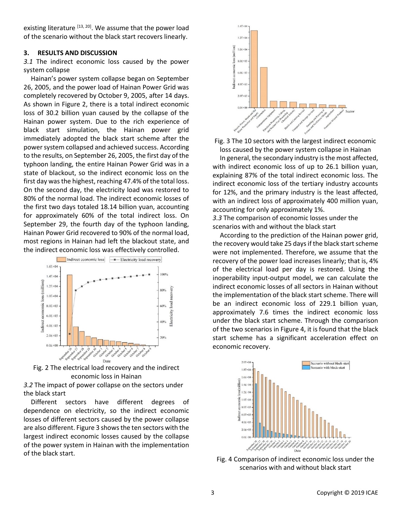existing literature [13, 20]. We assume that the power load of the scenario without the black start recovers linearly.

### **3. RESULTS AND DISCUSSION**

*3.1* The indirect economic loss caused by the power system collapse

Hainan's power system collapse began on September 26, 2005, and the power load of Hainan Power Grid was completely recovered by October 9, 2005, after 14 days. As shown in Figure 2, there is a total indirect economic loss of 30.2 billion yuan caused by the collapse of the Hainan power system. Due to the rich experience of black start simulation, the Hainan power grid immediately adopted the black start scheme after the power system collapsed and achieved success. According to the results, on September 26, 2005, the first day of the typhoon landing, the entire Hainan Power Grid was in a state of blackout, so the indirect economic loss on the first day was the highest, reaching 47.4% of the total loss. On the second day, the electricity load was restored to 80% of the normal load. The indirect economic losses of the first two days totaled 18.14 billion yuan, accounting for approximately 60% of the total indirect loss. On September 29, the fourth day of the typhoon landing, Hainan Power Grid recovered to 90% of the normal load, most regions in Hainan had left the blackout state, and the indirect economic loss was effectively controlled.



Fig. 2 The electrical load recovery and the indirect economic loss in Hainan

*3.2* The impact of power collapse on the sectors under the black start

Different sectors have different degrees of dependence on electricity, so the indirect economic losses of different sectors caused by the power collapse are also different. Figure 3 shows the ten sectors with the largest indirect economic losses caused by the collapse of the power system in Hainan with the implementation of the black start.



Fig. 3 The 10 sectors with the largest indirect economic loss caused by the power system collapse in Hainan

In general, the secondary industry is the most affected, with indirect economic loss of up to 26.1 billion yuan, explaining 87% of the total indirect economic loss. The indirect economic loss of the tertiary industry accounts for 12%, and the primary industry is the least affected, with an indirect loss of approximately 400 million yuan, accounting for only approximately 1%.

*3.3* The comparison of economic losses under the scenarios with and without the black start

According to the prediction of the Hainan power grid, the recovery would take 25 days if the black start scheme were not implemented. Therefore, we assume that the recovery of the power load increases linearly; that is, 4% of the electrical load per day is restored. Using the inoperability input-output model, we can calculate the indirect economic losses of all sectors in Hainan without the implementation of the black start scheme. There will be an indirect economic loss of 229.1 billion yuan, approximately 7.6 times the indirect economic loss under the black start scheme. Through the comparison of the two scenarios in Figure 4, it is found that the black start scheme has a significant acceleration effect on economic recovery.



Fig. 4 Comparison of indirect economic loss under the scenarios with and without black start